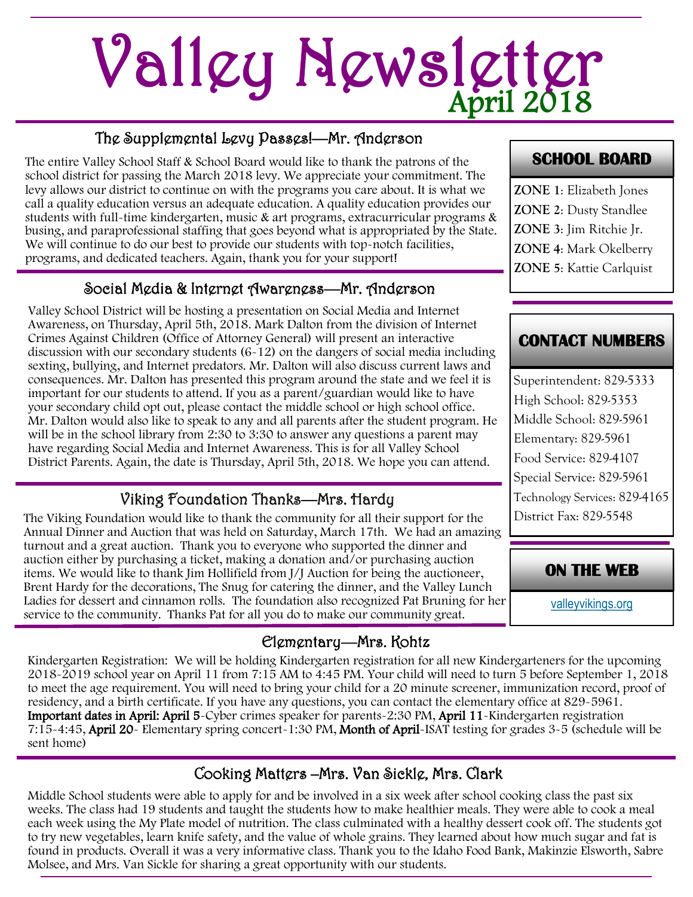# April 2018 Valley Newsletter

## The Supplemental Levy Passes!—Mr. Anderson

The entire Valley School Staff & School Board would like to thank the patrons of the school district for passing the March 2018 levy. We appreciate your commitment. The levy allows our district to continue on with the programs you care about. It is what we call a quality education versus an adequate education. A quality education provides our students with full-time kindergarten, music & art programs, extracurricular programs & busing, and paraprofessional staffing that goes beyond what is appropriated by the State. We will continue to do our best to provide our students with top-notch facilities, programs, and dedicated teachers. Again, thank you for your support!

#### Social Media & Internet Awareness—Mr. Anderson

Valley School District will be hosting a presentation on Social Media and Internet Awareness, on Thursday, April 5th, 2018. Mark Dalton from the division of Internet Crimes Against Children (Office of Attorney General) will present an interactive discussion with our secondary students (6-12) on the dangers of social media including sexting, bullying, and Internet predators. Mr. Dalton will also discuss current laws and consequences. Mr. Dalton has presented this program around the state and we feel it is important for our students to attend. If you as a parent/guardian would like to have your secondary child opt out, please contact the middle school or high school office. Mr. Dalton would also like to speak to any and all parents after the student program. He will be in the school library from 2:30 to 3:30 to answer any questions a parent may have regarding Social Media and Internet Awareness. This is for all Valley School District Parents. Again, the date is Thursday, April 5th, 2018. We hope you can attend.

## Viking Foundation Thanks—Mrs. Hardy

The Viking Foundation would like to thank the community for all their support for the Annual Dinner and Auction that was held on Saturday, March 17th. We had an amazing turnout and a great auction. Thank you to everyone who supported the dinner and auction either by purchasing a ticket, making a donation and/or purchasing auction items. We would like to thank Jim Hollifield from J/J Auction for being the auctioneer, Brent Hardy for the decorations, The Snug for catering the dinner, and the Valley Lunch Ladies for dessert and cinnamon rolls. The foundation also recognized Pat Bruning for her service to the community. Thanks Pat for all you do to make our community great.

## Elementary—Mrs. Kohtz

Kindergarten Registration: We will be holding Kindergarten registration for all new Kindergarteners for the upcoming 2018-2019 school year on April 11 from 7:15 AM to 4:45 PM. Your child will need to turn 5 before September 1, 2018 to meet the age requirement. You will need to bring your child for a 20 minute screener, immunization record, proof of residency, and a birth certificate. If you have any questions, you can contact the elementary office at 829-5961. Important dates in April: April 5-Cyber crimes speaker for parents-2:30 PM, April 11-Kindergarten registration 7:15-4:45, April 20- Elementary spring concert-1:30 PM, Month of April-ISAT testing for grades 3-5 (schedule will be sent home)

## Cooking Matters –Mrs. Van Sickle, Mrs. Clark

Middle School students were able to apply for and be involved in a six week after school cooking class the past six weeks. The class had 19 students and taught the students how to make healthier meals. They were able to cook a meal each week using the My Plate model of nutrition. The class culminated with a healthy dessert cook off. The students got to try new vegetables, learn knife safety, and the value of whole grains. They learned about how much sugar and fat is found in products. Overall it was a very informative class. Thank you to the Idaho Food Bank, Makinzie Elsworth, Sabre Molsee, and Mrs. Van Sickle for sharing a great opportunity with our students.

#### **SCHOOL BOARD**

**ZONE 1**: Elizabeth Jones **ZONE 2**: Dusty Standlee **ZONE 3**: Jim Ritchie Jr. **ZONE 4**: Mark Okelberry **ZONE 5**: Kattie Carlquist

## **CONTACT NUMBERS**

Superintendent: 829-5333 High School: 829-5353 Middle School: 829-5961 Elementary: 829-5961 Food Service: 829-4107 Special Service: 829-5961 Technology Services: 829-4165 District Fax: 829-5548

#### **ON THE WEB**

[valleyvikings.org](http://www.valleyvikings.org/)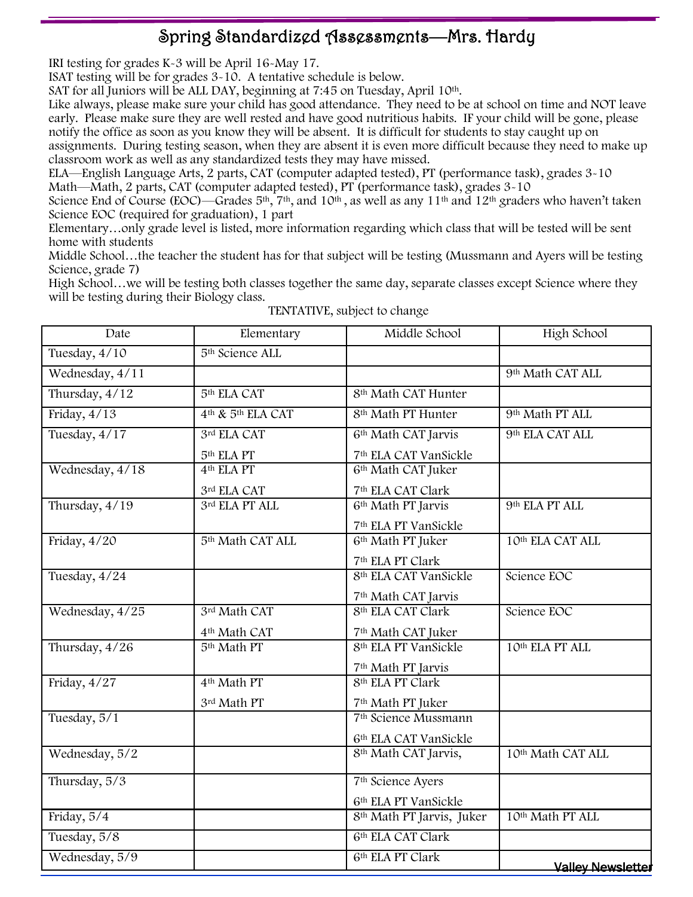## Spring Standardized Assessments—Mrs. Hardy

IRI testing for grades K-3 will be April 16-May 17.

ISAT testing will be for grades 3-10. A tentative schedule is below.

SAT for all Juniors will be ALL DAY, beginning at 7:45 on Tuesday, April 10<sup>th</sup>.

Like always, please make sure your child has good attendance. They need to be at school on time and NOT leave early. Please make sure they are well rested and have good nutritious habits. IF your child will be gone, please notify the office as soon as you know they will be absent. It is difficult for students to stay caught up on assignments. During testing season, when they are absent it is even more difficult because they need to make up

classroom work as well as any standardized tests they may have missed.

ELA—English Language Arts, 2 parts, CAT (computer adapted tested), PT (performance task), grades 3-10 Math—Math, 2 parts, CAT (computer adapted tested), PT (performance task), grades 3-10

Science End of Course (EOC)—Grades  $5<sup>th</sup>$ ,  $7<sup>th</sup>$ , and  $10<sup>th</sup>$ , as well as any  $11<sup>th</sup>$  and  $12<sup>th</sup>$  graders who haven't taken Science EOC (required for graduation), 1 part

Elementary…only grade level is listed, more information regarding which class that will be tested will be sent home with students

Middle School…the teacher the student has for that subject will be testing (Mussmann and Ayers will be testing Science, grade 7)

High School…we will be testing both classes together the same day, separate classes except Science where they will be testing during their Biology class.

| Date            | Elementary                                | Middle School                         | High School                  |  |
|-----------------|-------------------------------------------|---------------------------------------|------------------------------|--|
| Tuesday, 4/10   | 5 <sup>th</sup> Science ALL               |                                       |                              |  |
| Wednesday, 4/11 |                                           |                                       | 9 <sup>th</sup> Math CAT ALL |  |
| Thursday, 4/12  | 5 <sup>th</sup> ELA CAT                   | 8 <sup>th</sup> Math CAT Hunter       |                              |  |
| Friday, 4/13    | 4 <sup>th</sup> & 5 <sup>th</sup> ELA CAT | 8 <sup>th</sup> Math PT Hunter        | 9 <sup>th</sup> Math PT ALL  |  |
| Tuesday, 4/17   | 3rd ELA CAT                               | 6 <sup>th</sup> Math CAT Jarvis       | 9th ELA CAT ALL              |  |
|                 | 5 <sup>th</sup> ELA PT                    | 7 <sup>th</sup> ELA CAT VanSickle     |                              |  |
| Wednesday, 4/18 | 4 <sup>th</sup> ELA PT                    | 6 <sup>th</sup> Math CAT Juker        |                              |  |
|                 | 3rd ELA CAT                               | 7 <sup>th</sup> ELA CAT Clark         |                              |  |
| Thursday, 4/19  | 3rd ELA PT ALL                            | 6 <sup>th</sup> Math PT Jarvis        | 9th ELA PT ALL               |  |
|                 |                                           | 7 <sup>th</sup> ELA PT VanSickle      |                              |  |
| Friday, 4/20    | 5 <sup>th</sup> Math CAT ALL              | 6 <sup>th</sup> Math PT Juker         | 10th ELA CAT ALL             |  |
|                 |                                           | 7 <sup>th</sup> ELA PT Clark          |                              |  |
| Tuesday, 4/24   |                                           | 8 <sup>th</sup> ELA CAT VanSickle     | Science EOC                  |  |
|                 |                                           | 7 <sup>th</sup> Math CAT Jarvis       |                              |  |
| Wednesday, 4/25 | 3rd Math CAT                              | 8th ELA CAT Clark                     | Science EOC                  |  |
|                 | 4 <sup>th</sup> Math CAT                  | 7 <sup>th</sup> Math CAT Juker        |                              |  |
| Thursday, 4/26  | 5 <sup>th</sup> Math PT                   | 8 <sup>th</sup> ELA PT VanSickle      | 10th ELA PT ALL              |  |
|                 |                                           | 7 <sup>th</sup> Math PT Jarvis        |                              |  |
| Friday, $4/27$  | 4 <sup>th</sup> Math PT                   | 8 <sup>th</sup> ELA PT Clark          |                              |  |
|                 | 3rd Math PT                               | 7 <sup>th</sup> Math PT Juker         |                              |  |
| Tuesday, 5/1    |                                           | 7 <sup>th</sup> Science Mussmann      |                              |  |
|                 |                                           | 6th ELA CAT VanSickle                 |                              |  |
| Wednesday, 5/2  |                                           | 8 <sup>th</sup> Math CAT Jarvis,      | 10th Math CAT ALL            |  |
| Thursday, 5/3   |                                           | 7 <sup>th</sup> Science Ayers         |                              |  |
|                 |                                           | 6 <sup>th</sup> ELA PT VanSickle      |                              |  |
| Friday, 5/4     |                                           | 8 <sup>th</sup> Math PT Jarvis, Juker | 10th Math PT ALL             |  |
| Tuesday, 5/8    |                                           | 6th ELA CAT Clark                     |                              |  |
| Wednesday, 5/9  |                                           | 6th ELA PT Clark                      | <b>Valley Newsletter</b>     |  |

TENTATIVE, subject to change